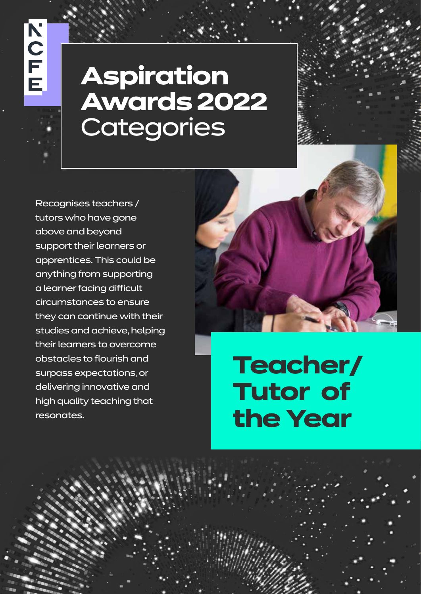Recognises teachers / tutors who have gone above and beyond support their learners or apprentices. This could be anything from supporting a learner facing difficult circumstances to ensure they can continue with their studies and achieve, helping their learners to overcome obstacles to flourish and surpass expectations, or delivering innovative and high quality teaching that resonates.



**Teacher/ Tutor of the Year**

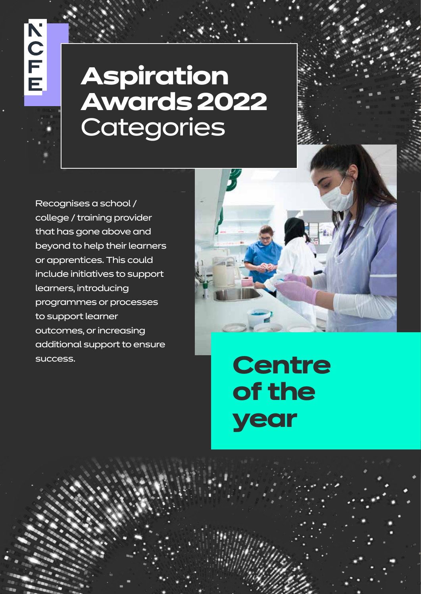Recognises a school / college / training provider that has gone above and beyond to help their learners or apprentices. This could include initiatives to support learners, introducing programmes or processes to support learner outcomes, or increasing additional support to ensure success.



**Centre of the year**

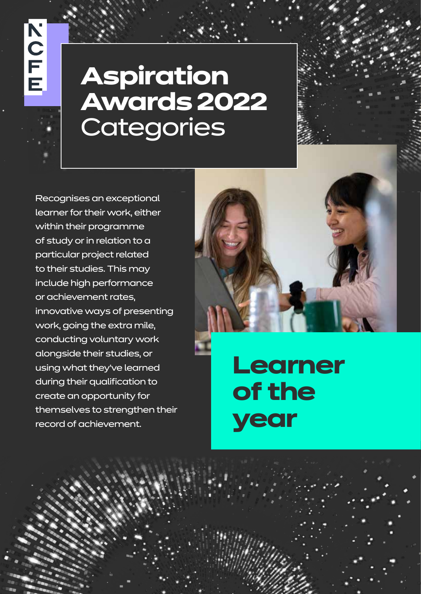Recognises an exceptional learner for their work, either within their programme of study or in relation to a particular project related to their studies. This may include high performance or achievement rates, innovative ways of presenting work, going the extra mile, conducting voluntary work alongside their studies, or using what they've learned during their qualification to create an opportunity for themselves to strengthen their record of achievement.



**Learner of the year**

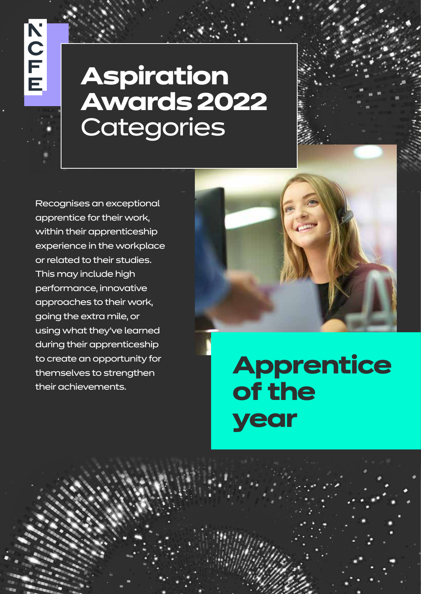Recognises an exceptional apprentice for their work, within their apprenticeship experience in the workplace or related to their studies. This may include high performance, innovative approaches to their work, going the extra mile, or using what they've learned during their apprenticeship to create an opportunity for themselves to strengthen their achievements.



**Apprentice of the year**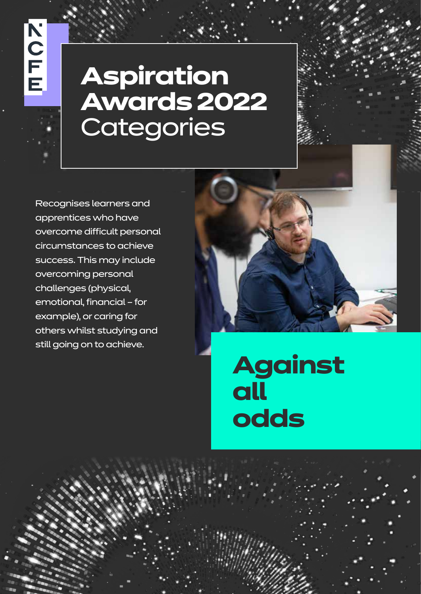Recognises learners and apprentices who have overcome difficult personal circumstances to achieve success. This may include overcoming personal challenges (physical, emotional, financial – for example), or caring for others whilst studying and still going on to achieve.



**Against all odds**